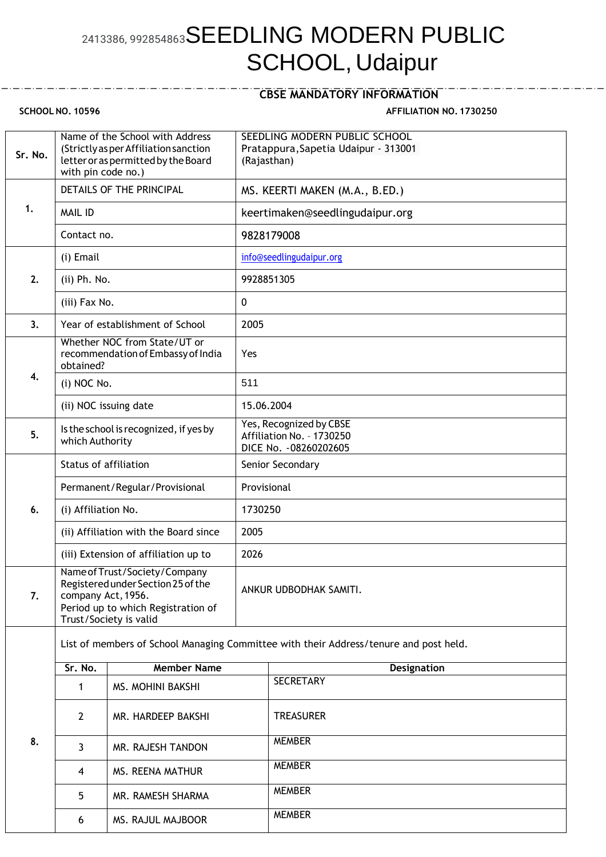## 2413386, 992854863SEEDLING MODERN PUBLIC SCHOOL, Udaipur

## **CBSE MANDATORY INFORMATION**

**SCHOOL NO. 10596 AFFILIATION NO. 1730250**

| Sr. No. | with pin code no.)                                                                                                                                        | Name of the School with Address<br>(Strictly as per Affiliation sanction<br>letter or as permitted by the Board | SEEDLING MODERN PUBLIC SCHOOL<br>Pratappura, Sapetia Udaipur - 313001<br>(Rajasthan) |                                                                                |  |  |
|---------|-----------------------------------------------------------------------------------------------------------------------------------------------------------|-----------------------------------------------------------------------------------------------------------------|--------------------------------------------------------------------------------------|--------------------------------------------------------------------------------|--|--|
| 1.      | DETAILS OF THE PRINCIPAL                                                                                                                                  |                                                                                                                 | MS. KEERTI MAKEN (M.A., B.ED.)                                                       |                                                                                |  |  |
|         | <b>MAIL ID</b>                                                                                                                                            |                                                                                                                 | keertimaken@seedlingudaipur.org                                                      |                                                                                |  |  |
|         | Contact no.                                                                                                                                               |                                                                                                                 | 9828179008                                                                           |                                                                                |  |  |
| 2.      | (i) Email                                                                                                                                                 |                                                                                                                 |                                                                                      | info@seedlingudaipur.org                                                       |  |  |
|         | (ii) Ph. No.                                                                                                                                              |                                                                                                                 | 9928851305                                                                           |                                                                                |  |  |
|         | (iii) Fax No.                                                                                                                                             |                                                                                                                 | $\mathbf 0$                                                                          |                                                                                |  |  |
| 3.      |                                                                                                                                                           | Year of establishment of School                                                                                 | 2005                                                                                 |                                                                                |  |  |
|         | Whether NOC from State/UT or<br>recommendation of Embassy of India<br>obtained?                                                                           |                                                                                                                 | Yes                                                                                  |                                                                                |  |  |
| 4.      | (i) NOC No.                                                                                                                                               |                                                                                                                 | 511                                                                                  |                                                                                |  |  |
|         | (ii) NOC issuing date                                                                                                                                     |                                                                                                                 |                                                                                      | 15.06.2004                                                                     |  |  |
| 5.      | Is the school is recognized, if yes by<br>which Authority                                                                                                 |                                                                                                                 |                                                                                      | Yes, Recognized by CBSE<br>Affiliation No. - 1730250<br>DICE No. - 08260202605 |  |  |
|         | <b>Status of affiliation</b>                                                                                                                              |                                                                                                                 | Senior Secondary                                                                     |                                                                                |  |  |
|         | Permanent/Regular/Provisional                                                                                                                             |                                                                                                                 | Provisional                                                                          |                                                                                |  |  |
| 6.      | (i) Affiliation No.                                                                                                                                       |                                                                                                                 | 1730250                                                                              |                                                                                |  |  |
|         | (ii) Affiliation with the Board since                                                                                                                     |                                                                                                                 | 2005                                                                                 |                                                                                |  |  |
|         | (iii) Extension of affiliation up to                                                                                                                      |                                                                                                                 | 2026                                                                                 |                                                                                |  |  |
| 7.      | Name of Trust/Society/Company<br>Registered under Section 25 of the<br>company Act, 1956.<br>Period up to which Registration of<br>Trust/Society is valid |                                                                                                                 |                                                                                      | ANKUR UDBODHAK SAMITI.                                                         |  |  |
|         | List of members of School Managing Committee with their Address/tenure and post held.                                                                     |                                                                                                                 |                                                                                      |                                                                                |  |  |
|         | Sr. No.                                                                                                                                                   | <b>Member Name</b>                                                                                              |                                                                                      | <b>Designation</b>                                                             |  |  |
| 8.      | 1                                                                                                                                                         | MS. MOHINI BAKSHI                                                                                               |                                                                                      | <b>SECRETARY</b>                                                               |  |  |
|         | $2^{\circ}$                                                                                                                                               | MR. HARDEEP BAKSHI                                                                                              |                                                                                      | <b>TREASURER</b>                                                               |  |  |
|         | $\mathbf{3}$                                                                                                                                              | MR. RAJESH TANDON                                                                                               |                                                                                      | <b>MEMBER</b>                                                                  |  |  |
|         | 4                                                                                                                                                         | MS. REENA MATHUR                                                                                                |                                                                                      | <b>MEMBER</b>                                                                  |  |  |
|         | 5                                                                                                                                                         | MR. RAMESH SHARMA                                                                                               |                                                                                      | <b>MEMBER</b>                                                                  |  |  |
|         | 6                                                                                                                                                         | MS. RAJUL MAJBOOR                                                                                               |                                                                                      | <b>MEMBER</b>                                                                  |  |  |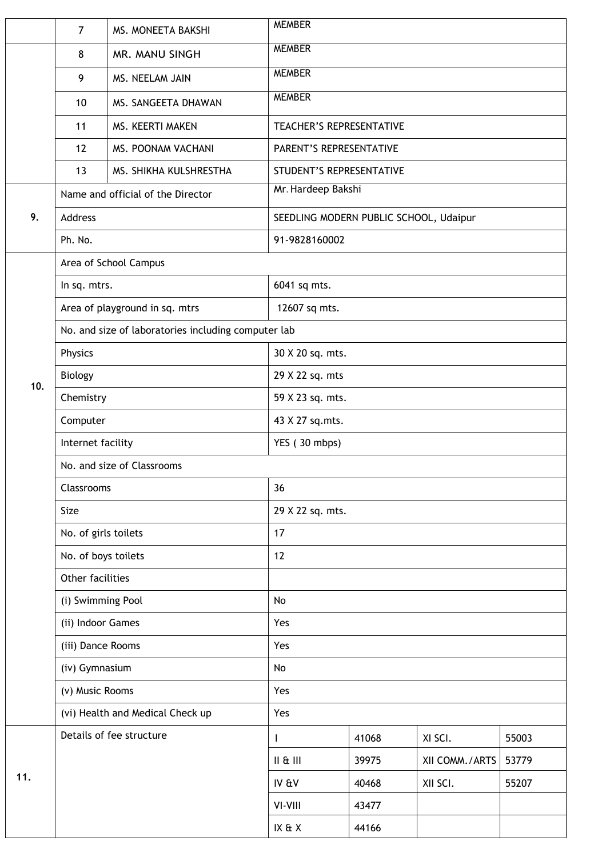|                                                         | $\overline{7}$                                      | MS. MONEETA BAKSHI               | <b>MEMBER</b>            |               |                |       |  |  |
|---------------------------------------------------------|-----------------------------------------------------|----------------------------------|--------------------------|---------------|----------------|-------|--|--|
|                                                         | 8                                                   | MR. MANU SINGH                   | <b>MEMBER</b>            |               |                |       |  |  |
|                                                         | 9                                                   | MS. NEELAM JAIN                  | <b>MEMBER</b>            |               |                |       |  |  |
|                                                         | 10                                                  | MS. SANGEETA DHAWAN              |                          | <b>MEMBER</b> |                |       |  |  |
|                                                         | 11                                                  | MS. KEERTI MAKEN                 | TEACHER'S REPRESENTATIVE |               |                |       |  |  |
|                                                         | 12                                                  | MS. POONAM VACHANI               | PARENT'S REPRESENTATIVE  |               |                |       |  |  |
|                                                         | 13                                                  | MS. SHIKHA KULSHRESTHA           | STUDENT'S REPRESENTATIVE |               |                |       |  |  |
|                                                         | Name and official of the Director                   |                                  | Mr. Hardeep Bakshi       |               |                |       |  |  |
| 9.<br>Address<br>SEEDLING MODERN PUBLIC SCHOOL, Udaipur |                                                     |                                  |                          |               |                |       |  |  |
|                                                         | Ph. No.                                             |                                  | 91-9828160002            |               |                |       |  |  |
|                                                         |                                                     | Area of School Campus            |                          |               |                |       |  |  |
|                                                         | In sq. mtrs.                                        |                                  | 6041 sq mts.             |               |                |       |  |  |
| 10.                                                     | Area of playground in sq. mtrs                      |                                  | 12607 sq mts.            |               |                |       |  |  |
|                                                         | No. and size of laboratories including computer lab |                                  |                          |               |                |       |  |  |
|                                                         | Physics                                             |                                  | 30 X 20 sq. mts.         |               |                |       |  |  |
|                                                         | Biology                                             |                                  | 29 X 22 sq. mts          |               |                |       |  |  |
|                                                         | Chemistry                                           |                                  | 59 X 23 sq. mts.         |               |                |       |  |  |
|                                                         | Computer                                            |                                  | 43 X 27 sq.mts.          |               |                |       |  |  |
|                                                         | Internet facility                                   |                                  | YES (30 mbps)            |               |                |       |  |  |
|                                                         | No. and size of Classrooms                          |                                  |                          |               |                |       |  |  |
|                                                         | Classrooms<br>36                                    |                                  |                          |               |                |       |  |  |
|                                                         | Size                                                |                                  | 29 X 22 sq. mts.         |               |                |       |  |  |
|                                                         | No. of girls toilets                                |                                  | 17                       |               |                |       |  |  |
|                                                         | No. of boys toilets                                 |                                  | 12                       |               |                |       |  |  |
|                                                         | Other facilities                                    |                                  |                          |               |                |       |  |  |
|                                                         | (i) Swimming Pool                                   |                                  | No                       |               |                |       |  |  |
|                                                         | (ii) Indoor Games                                   |                                  | Yes                      |               |                |       |  |  |
|                                                         | (iii) Dance Rooms                                   |                                  | Yes                      |               |                |       |  |  |
|                                                         | (iv) Gymnasium                                      |                                  | No                       |               |                |       |  |  |
|                                                         | (v) Music Rooms                                     |                                  | Yes                      |               |                |       |  |  |
|                                                         |                                                     | (vi) Health and Medical Check up | Yes                      |               |                |       |  |  |
| 11.                                                     | Details of fee structure                            |                                  | $\mathbf{I}$             | 41068         | XI SCI.        | 55003 |  |  |
|                                                         |                                                     |                                  | II & III                 | 39975         | XII COMM./ARTS | 53779 |  |  |
|                                                         |                                                     |                                  | IV & V                   | 40468         | XII SCI.       | 55207 |  |  |
|                                                         |                                                     |                                  | VI-VIII                  | 43477         |                |       |  |  |
|                                                         |                                                     |                                  | IX & X                   | 44166         |                |       |  |  |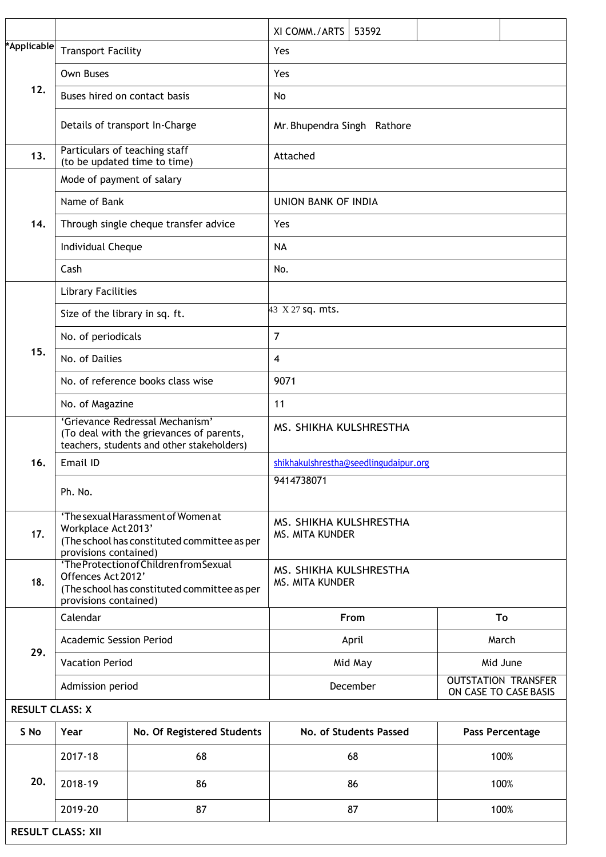|                        |                                                               |                                                                                                                                                                                        | XI COMM./ARTS                                                   | 53592                       |  |          |  |
|------------------------|---------------------------------------------------------------|----------------------------------------------------------------------------------------------------------------------------------------------------------------------------------------|-----------------------------------------------------------------|-----------------------------|--|----------|--|
| *Applicable            | <b>Transport Facility</b><br>Yes                              |                                                                                                                                                                                        |                                                                 |                             |  |          |  |
| 12.                    | <b>Own Buses</b>                                              |                                                                                                                                                                                        | Yes                                                             |                             |  |          |  |
|                        | Buses hired on contact basis                                  |                                                                                                                                                                                        | No                                                              |                             |  |          |  |
|                        |                                                               | Details of transport In-Charge                                                                                                                                                         |                                                                 | Mr. Bhupendra Singh Rathore |  |          |  |
| 13.                    | Particulars of teaching staff<br>(to be updated time to time) |                                                                                                                                                                                        | Attached                                                        |                             |  |          |  |
| 14.                    | Mode of payment of salary                                     |                                                                                                                                                                                        |                                                                 |                             |  |          |  |
|                        | Name of Bank                                                  |                                                                                                                                                                                        | <b>UNION BANK OF INDIA</b>                                      |                             |  |          |  |
|                        |                                                               | Through single cheque transfer advice                                                                                                                                                  | Yes                                                             |                             |  |          |  |
|                        | Individual Cheque                                             |                                                                                                                                                                                        | <b>NA</b>                                                       |                             |  |          |  |
|                        | Cash                                                          |                                                                                                                                                                                        | No.                                                             |                             |  |          |  |
|                        | <b>Library Facilities</b>                                     |                                                                                                                                                                                        |                                                                 |                             |  |          |  |
|                        | Size of the library in sq. ft.                                |                                                                                                                                                                                        | 43 X 27 sq. mts.                                                |                             |  |          |  |
| 15.                    | No. of periodicals                                            |                                                                                                                                                                                        | $\overline{7}$                                                  |                             |  |          |  |
|                        | No. of Dailies                                                |                                                                                                                                                                                        | $\overline{4}$                                                  |                             |  |          |  |
|                        |                                                               | No. of reference books class wise                                                                                                                                                      | 9071                                                            |                             |  |          |  |
|                        | No. of Magazine                                               |                                                                                                                                                                                        | 11                                                              |                             |  |          |  |
|                        |                                                               | 'Grievance Redressal Mechanism'<br>(To deal with the grievances of parents,<br>teachers, students and other stakeholders)                                                              | MS. SHIKHA KULSHRESTHA                                          |                             |  |          |  |
| 16.                    | Email ID                                                      |                                                                                                                                                                                        | shikhakulshrestha@seedlingudaipur.org                           |                             |  |          |  |
|                        | Ph. No.                                                       |                                                                                                                                                                                        | 9414738071                                                      |                             |  |          |  |
| 17.                    |                                                               | 'The sexual Harassment of Women at<br>MS. SHIKHA KULSHRESTHA<br>Workplace Act 2013'<br><b>MS. MITA KUNDER</b><br>(The school has constituted committee as per<br>provisions contained) |                                                                 |                             |  |          |  |
| 18.                    | Offences Act 2012'<br>provisions contained)                   | 'The Protection of Children from Sexual<br>(The school has constituted committee as per                                                                                                | MS. SHIKHA KULSHRESTHA<br><b>MS. MITA KUNDER</b>                |                             |  |          |  |
|                        | Calendar                                                      |                                                                                                                                                                                        |                                                                 | From                        |  | To       |  |
| 29.                    | <b>Academic Session Period</b>                                |                                                                                                                                                                                        |                                                                 | April                       |  | March    |  |
|                        | <b>Vacation Period</b>                                        |                                                                                                                                                                                        |                                                                 | Mid May                     |  | Mid June |  |
|                        | Admission period                                              |                                                                                                                                                                                        | <b>OUTSTATION TRANSFER</b><br>December<br>ON CASE TO CASE BASIS |                             |  |          |  |
| <b>RESULT CLASS: X</b> |                                                               |                                                                                                                                                                                        |                                                                 |                             |  |          |  |
| S No                   | No. Of Registered Students<br>Year                            |                                                                                                                                                                                        | No. of Students Passed<br>Pass Percentage                       |                             |  |          |  |
|                        | 2017-18                                                       | 68                                                                                                                                                                                     |                                                                 | 68                          |  | 100%     |  |
| 20.                    | 2018-19                                                       | 86                                                                                                                                                                                     |                                                                 | 86                          |  | 100%     |  |

2019-20 87 87 100%

**RESULT CLASS: XII**